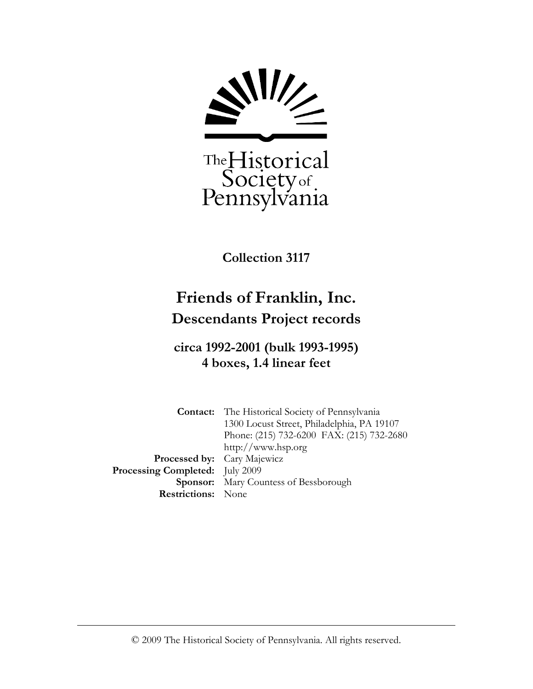

Collection 3117

# Friends of Franklin, Inc. Descendants Project records

## circa 1992-2001 (bulk 1993-1995) 4 boxes, 1.4 linear feet

Contact: The Historical Society of Pennsylvania 1300 Locust Street, Philadelphia, PA 19107 Phone: (215) 732-6200 FAX: (215) 732-2680 http://www.hsp.org Processed by: Cary Majewicz Processing Completed: July 2009 Sponsor: Mary Countess of Bessborough Restrictions: None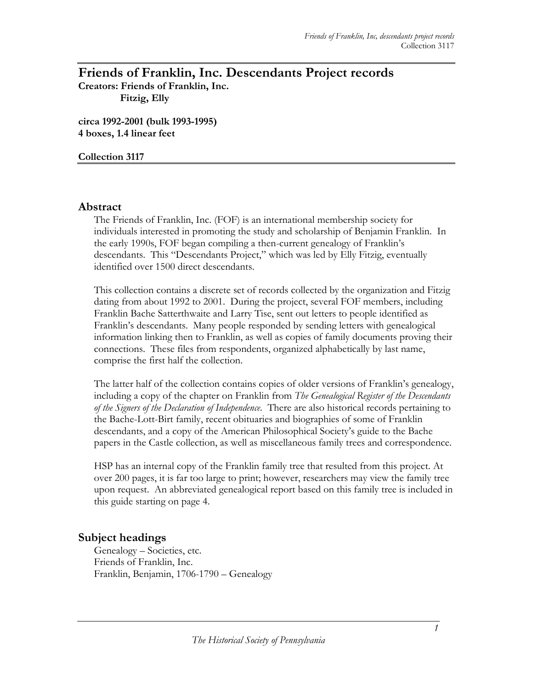### Friends of Franklin, Inc. Descendants Project records

Creators: Friends of Franklin, Inc. Fitzig, Elly

circa 1992-2001 (bulk 1993-1995) 4 boxes, 1.4 linear feet

Collection 3117

#### Abstract

The Friends of Franklin, Inc. (FOF) is an international membership society for individuals interested in promoting the study and scholarship of Benjamin Franklin. In the early 1990s, FOF began compiling a then-current genealogy of Franklin's descendants. This "Descendants Project," which was led by Elly Fitzig, eventually identified over 1500 direct descendants.

This collection contains a discrete set of records collected by the organization and Fitzig dating from about 1992 to 2001. During the project, several FOF members, including Franklin Bache Satterthwaite and Larry Tise, sent out letters to people identified as Franklin's descendants. Many people responded by sending letters with genealogical information linking then to Franklin, as well as copies of family documents proving their connections. These files from respondents, organized alphabetically by last name, comprise the first half the collection.

The latter half of the collection contains copies of older versions of Franklin's genealogy, including a copy of the chapter on Franklin from *The Genealogical Register of the Descendants* of the Signers of the Declaration of Independence. There are also historical records pertaining to the Bache-Lott-Birt family, recent obituaries and biographies of some of Franklin descendants, and a copy of the American Philosophical Society's guide to the Bache papers in the Castle collection, as well as miscellaneous family trees and correspondence.

HSP has an internal copy of the Franklin family tree that resulted from this project. At over 200 pages, it is far too large to print; however, researchers may view the family tree upon request. An abbreviated genealogical report based on this family tree is included in this guide starting on page 4.

#### Subject headings

Genealogy – Societies, etc. Friends of Franklin, Inc. Franklin, Benjamin, 1706-1790 – Genealogy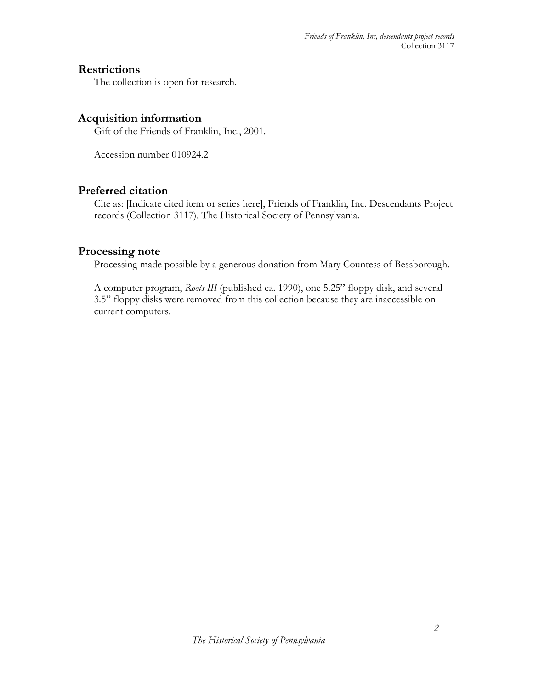#### **Restrictions**

The collection is open for research.

### Acquisition information

Gift of the Friends of Franklin, Inc., 2001.

Accession number 010924.2

#### Preferred citation

Cite as: [Indicate cited item or series here], Friends of Franklin, Inc. Descendants Project records (Collection 3117), The Historical Society of Pennsylvania.

#### Processing note

Processing made possible by a generous donation from Mary Countess of Bessborough.

A computer program, Roots III (published ca. 1990), one 5.25" floppy disk, and several 3.5" floppy disks were removed from this collection because they are inaccessible on current computers.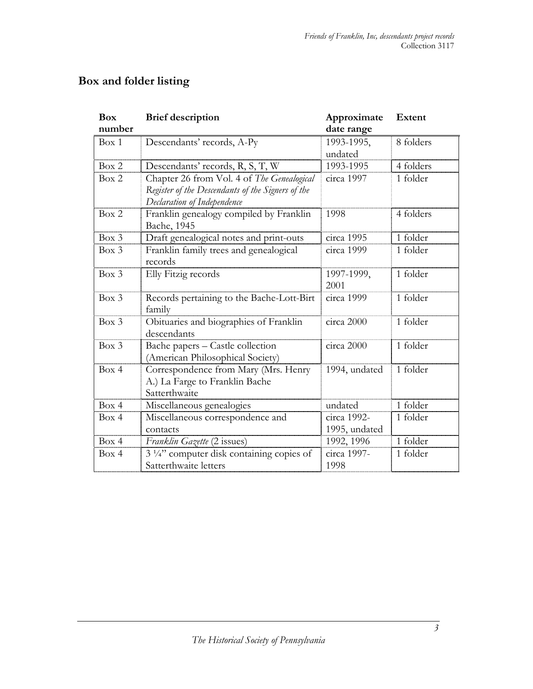| <b>Box</b><br>number | <b>Brief description</b>                             | Approximate<br>date range | <b>Extent</b> |
|----------------------|------------------------------------------------------|---------------------------|---------------|
| Box 1                | Descendants' records, A-Py                           | 1993-1995,                | 8 folders     |
|                      |                                                      | undated                   |               |
| Box 2                | Descendants' records, R, S, T, W                     | 1993-1995                 | 4 folders     |
| Box 2                | Chapter 26 from Vol. 4 of The Genealogical           | circa 1997                | 1 folder      |
|                      | Register of the Descendants of the Signers of the    |                           |               |
|                      | Declaration of Independence                          |                           |               |
| Box 2                | Franklin genealogy compiled by Franklin              | 1998                      | 4 folders     |
|                      | Bache, 1945                                          |                           |               |
| $Box\ 3$             | Draft genealogical notes and print-outs              | circa 1995                | 1 folder      |
| $Box\ 3$             | Franklin family trees and genealogical               | circa 1999                | 1 folder      |
|                      | records                                              |                           |               |
| $Box\ 3$             | Elly Fitzig records                                  | 1997-1999,                | 1 folder      |
|                      |                                                      | 2001                      |               |
| Box 3                | Records pertaining to the Bache-Lott-Birt            | circa 1999                | 1 folder      |
|                      | family                                               |                           |               |
| Box 3                | Obituaries and biographies of Franklin               | circa 2000                | 1 folder      |
|                      | descendants                                          |                           |               |
| $Box\ 3$             | Bache papers - Castle collection                     | circa 2000                | 1 folder      |
|                      | (American Philosophical Society)                     |                           |               |
| Box 4                | Correspondence from Mary (Mrs. Henry                 | 1994, undated             | 1 folder      |
|                      | A.) La Farge to Franklin Bache                       |                           |               |
|                      | Satterthwaite                                        |                           |               |
| Box 4                | Miscellaneous genealogies                            | undated                   | 1 folder      |
| Box 4                | Miscellaneous correspondence and                     | circa 1992-               | 1 folder      |
|                      | contacts                                             | 1995, undated             |               |
| Box 4                | Franklin Gazette (2 issues)                          | 1992, 1996                | 1 folder      |
| Box 4                | 3 <sup>1/4"</sup> computer disk containing copies of | circa 1997-               | 1 folder      |
|                      | Satterthwaite letters                                | 1998                      |               |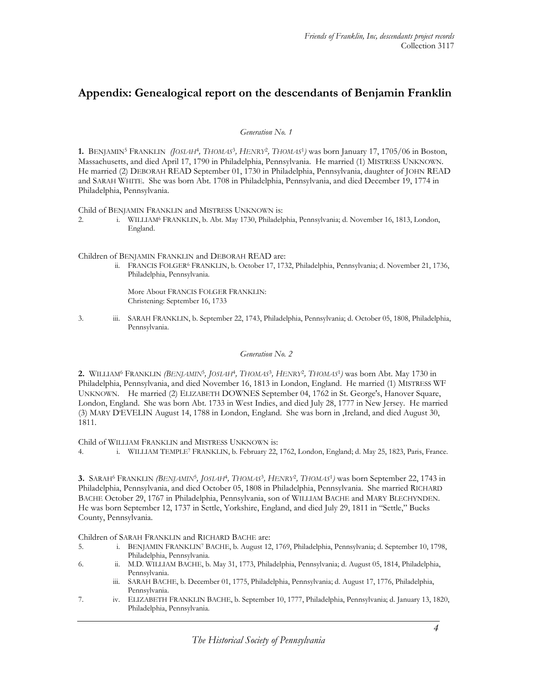#### Appendix: Genealogical report on the descendants of Benjamin Franklin

Generation No. 1

1. BENJAMIN<sup>5</sup> FRANKLIN (JOSLAH<sup>4</sup>, THOMAS<sup>3</sup>, HENRY<sup>2</sup>, THOMAS<sup>1</sup>) was born January 17, 1705/06 in Boston, Massachusetts, and died April 17, 1790 in Philadelphia, Pennsylvania. He married (1) MISTRESS UNKNOWN. He married (2) DEBORAH READ September 01, 1730 in Philadelphia, Pennsylvania, daughter of JOHN READ and SARAH WHITE. She was born Abt. 1708 in Philadelphia, Pennsylvania, and died December 19, 1774 in Philadelphia, Pennsylvania.

Child of BENJAMIN FRANKLIN and MISTRESS UNKNOWN is:

2. i. WILLIAM<sup>6</sup> FRANKLIN, b. Abt. May 1730, Philadelphia, Pennsylvania; d. November 16, 1813, London, England.

Children of BENJAMIN FRANKLIN and DEBORAH READ are:

ii. FRANCIS FOLGER<sup>6</sup> FRANKLIN, b. October 17, 1732, Philadelphia, Pennsylvania; d. November 21, 1736, Philadelphia, Pennsylvania.

More About FRANCIS FOLGER FRANKLIN: Christening: September 16, 1733

3. iii. SARAH FRANKLIN, b. September 22, 1743, Philadelphia, Pennsylvania; d. October 05, 1808, Philadelphia, Pennsylvania.

Generation No. 2

**2.** WILLIAM<sup>6</sup> FRANKLIN *(BENJAMIN*<sup>5</sup>, JOSLAH<sup>4</sup>, THOMAS<sup>3</sup>, HENRY<sup>2</sup>, THOMAS<sup>1</sup>) was born Abt. May 1730 in Philadelphia, Pennsylvania, and died November 16, 1813 in London, England. He married (1) MISTRESS WF UNKNOWN. He married (2) ELIZABETH DOWNES September 04, 1762 in St. George's, Hanover Square, London, England. She was born Abt. 1733 in West Indies, and died July 28, 1777 in New Jersey. He married (3) MARY D'EVELIN August 14, 1788 in London, England. She was born in ,Ireland, and died August 30, 1811.

Child of WILLIAM FRANKLIN and MISTRESS UNKNOWN is:

4. i. WILLIAM TEMPLE<sup>7</sup> FRANKLIN, b. February 22, 1762, London, England; d. May 25, 1823, Paris, France.

3. SARAH<sup>6</sup> FRANKLIN *(BENJAMIN<sup>5</sup>, JOSLAH<sup>4</sup>, THOMAS<sup>3</sup>, HENRY<sup>2</sup>, THOMAS<sup>1</sup>) was born September 22, 1743 in* Philadelphia, Pennsylvania, and died October 05, 1808 in Philadelphia, Pennsylvania. She married RICHARD BACHE October 29, 1767 in Philadelphia, Pennsylvania, son of WILLIAM BACHE and MARY BLECHYNDEN. He was born September 12, 1737 in Settle, Yorkshire, England, and died July 29, 1811 in "Settle," Bucks County, Pennsylvania.

Children of SARAH FRANKLIN and RICHARD BACHE are:

- 5. i. BENJAMIN FRANKLIN<sup>7</sup> BACHE, b. August 12, 1769, Philadelphia, Pennsylvania; d. September 10, 1798, Philadelphia, Pennsylvania.
- 6. ii. M.D. WILLIAM BACHE, b. May 31, 1773, Philadelphia, Pennsylvania; d. August 05, 1814, Philadelphia, Pennsylvania.
	- iii. SARAH BACHE, b. December 01, 1775, Philadelphia, Pennsylvania; d. August 17, 1776, Philadelphia, Pennsylvania.
- 7. iv. ELIZABETH FRANKLIN BACHE, b. September 10, 1777, Philadelphia, Pennsylvania; d. January 13, 1820, Philadelphia, Pennsylvania.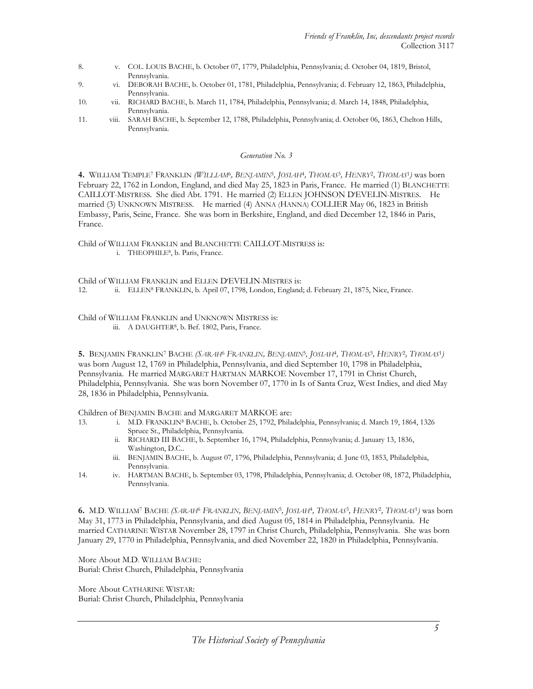- 8. v. COL. LOUIS BACHE, b. October 07, 1779, Philadelphia, Pennsylvania; d. October 04, 1819, Bristol, Pennsylvania.
- 9. vi. DEBORAH BACHE, b. October 01, 1781, Philadelphia, Pennsylvania; d. February 12, 1863, Philadelphia, Pennsylvania.
- 10. vii. RICHARD BACHE, b. March 11, 1784, Philadelphia, Pennsylvania; d. March 14, 1848, Philadelphia, Pennsylvania.
- 11. viii. SARAH BACHE, b. September 12, 1788, Philadelphia, Pennsylvania; d. October 06, 1863, Chelton Hills, Pennsylvania.

#### Generation No. 3

4. WILLIAM TEMPLE<sup>7</sup> FRANKLIN *(WILLLAM<sup>6</sup>, BENJAMIN<sup>5</sup>, JOSLAH<sup>4</sup>, THOMAS<sup>3</sup>, HENRY<sup>2</sup>, THOM<i>AS<sup>1</sup>)* was born February 22, 1762 in London, England, and died May 25, 1823 in Paris, France. He married (1) BLANCHETTE CAILLOT-MISTRESS. She died Abt. 1791. He married (2) ELLEN JOHNSON D'EVELIN-MISTRES. He married (3) UNKNOWN MISTRESS. He married (4) ANNA (HANNA) COLLIER May 06, 1823 in British Embassy, Paris, Seine, France. She was born in Berkshire, England, and died December 12, 1846 in Paris, France.

Child of WILLIAM FRANKLIN and BLANCHETTE CAILLOT-MISTRESS is:

i. THEOPHILE<sup>8</sup>, b. Paris, France.

Child of WILLIAM FRANKLIN and ELLEN D'EVELIN-MISTRES is:<br>12. ii. ELLEN<sup>8</sup> FRANKLIN, b. April 07, 1798. London, England

ii. ELLEN<sup>8</sup> FRANKLIN, b. April 07, 1798, London, England; d. February 21, 1875, Nice, France.

Child of WILLIAM FRANKLIN and UNKNOWN MISTRESS is: iii. A DAUGHTER<sup>8</sup>, b. Bef. 1802, Paris, France.

**5.** BENJAMIN FRANKLIN<sup>7</sup> BACHE *(SARAH<sup>6</sup> FRANKLIN, BENJAMIN<sup>5</sup>, JOSLAH<sup>4</sup>, THOMAS<sup>3</sup>, HENRY<sup>2</sup>, THOMAS<sup>1</sup>)* was born August 12, 1769 in Philadelphia, Pennsylvania, and died September 10, 1798 in Philadelphia, Pennsylvania. He married MARGARET HARTMAN MARKOE November 17, 1791 in Christ Church, Philadelphia, Pennsylvania. She was born November 07, 1770 in Is of Santa Cruz, West Indies, and died May 28, 1836 in Philadelphia, Pennsylvania.

Children of BENJAMIN BACHE and MARGARET MARKOE are:

- 13. i. M.D. FRANKLIN<sup>8</sup> BACHE, b. October 25, 1792, Philadelphia, Pennsylvania; d. March 19, 1864, 1326 Spruce St., Philadelphia, Pennsylvania.
	- ii. RICHARD III BACHE, b. September 16, 1794, Philadelphia, Pennsylvania; d. January 13, 1836, Washington, D.C..
	- iii. BENJAMIN BACHE, b. August 07, 1796, Philadelphia, Pennsylvania; d. June 03, 1853, Philadelphia, Pennsylvania.
- 14. iv. HARTMAN BACHE, b. September 03, 1798, Philadelphia, Pennsylvania; d. October 08, 1872, Philadelphia, Pennsylvania.

6. M.D. WILLIAM<sup>7</sup> BACHE *(SARAH<sup>6</sup> FRANKLIN, BENJAMIN<sup>5</sup>, JOSLAH<sup>4</sup>, THOMAS<sup>3</sup>, HENRY<sup>2</sup>, THOMAS<sup>1</sup>) was born* May 31, 1773 in Philadelphia, Pennsylvania, and died August 05, 1814 in Philadelphia, Pennsylvania. He married CATHARINE WISTAR November 28, 1797 in Christ Church, Philadelphia, Pennsylvania. She was born January 29, 1770 in Philadelphia, Pennsylvania, and died November 22, 1820 in Philadelphia, Pennsylvania.

More About M.D. WILLIAM BACHE: Burial: Christ Church, Philadelphia, Pennsylvania

More About CATHARINE WISTAR: Burial: Christ Church, Philadelphia, Pennsylvania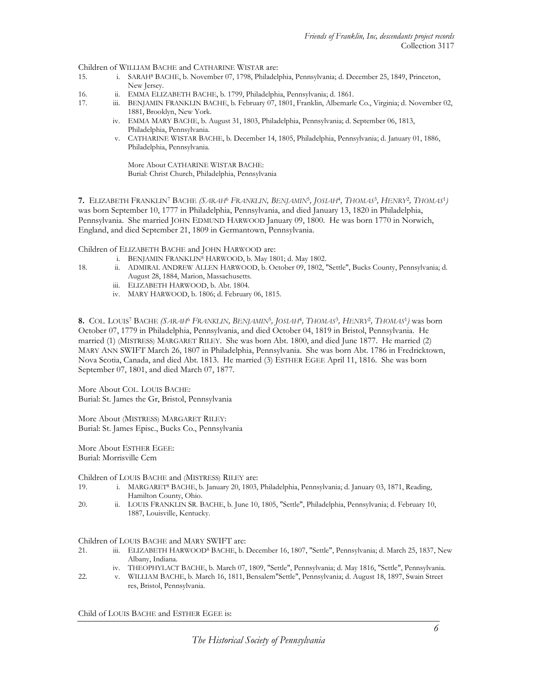Children of WILLIAM BACHE and CATHARINE WISTAR are:<br>15. i. SARAH<sup>8</sup> BACHE, b. November 07, 1798, Philadel

- 15. i. SARAH<sup>8</sup> BACHE, b. November 07, 1798, Philadelphia, Pennsylvania; d. December 25, 1849, Princeton, New Jersey.
- 16. ii. EMMA ELIZABETH BACHE, b. 1799, Philadelphia, Pennsylvania; d. 1861.
- 17. iii. BENJAMIN FRANKLIN BACHE, b. February 07, 1801, Franklin, Albemarle Co., Virginia; d. November 02, 1881, Brooklyn, New York.
	- iv. EMMA MARY BACHE, b. August 31, 1803, Philadelphia, Pennsylvania; d. September 06, 1813, Philadelphia, Pennsylvania.
	- v. CATHARINE WISTAR BACHE, b. December 14, 1805, Philadelphia, Pennsylvania; d. January 01, 1886, Philadelphia, Pennsylvania.

More About CATHARINE WISTAR BACHE: Burial: Christ Church, Philadelphia, Pennsylvania

7. ELIZABETH FRANKLIN<sup>7</sup> BACHE *(SARAH<sup>6</sup> FRANKLIN, BENJAMIN<sup>5</sup>, JOSLAH<sup>4</sup>, THOMAS<sup>3</sup>, HENRY<sup>2</sup>, THOMAS<sup>1</sup>)* was born September 10, 1777 in Philadelphia, Pennsylvania, and died January 13, 1820 in Philadelphia, Pennsylvania. She married JOHN EDMUND HARWOOD January 09, 1800. He was born 1770 in Norwich, England, and died September 21, 1809 in Germantown, Pennsylvania.

Children of ELIZABETH BACHE and JOHN HARWOOD are:

- i. BENJAMIN FRANKLIN<sup>8</sup> HARWOOD, b. May 1801; d. May 1802.<br>18. **ii. ADMIRAL ANDREW ALLEN HARWOOD**, b. October 09. 1802.
	- ii. ADMIRAL ANDREW ALLEN HARWOOD, b. October 09, 1802, "Settle", Bucks County, Pennsylvania; d. August 28, 1884, Marion, Massachusetts.
		- iii. ELIZABETH HARWOOD, b. Abt. 1804.
	- iv. MARY HARWOOD, b. 1806; d. February 06, 1815.

8. COL. LOUIS<sup>7</sup> BACHE *(SARAH<sup>6</sup> FRANKLIN, BENJAMIN<sup>5</sup>, JOSLAH<sup>4</sup>, THOMAS<sup>3</sup>, HENRY<sup>2</sup>, THOMAS<sup>1</sup>) was born* October 07, 1779 in Philadelphia, Pennsylvania, and died October 04, 1819 in Bristol, Pennsylvania. He married (1) (MISTRESS) MARGARET RILEY. She was born Abt. 1800, and died June 1877. He married (2) MARY ANN SWIFT March 26, 1807 in Philadelphia, Pennsylvania. She was born Abt. 1786 in Fredricktown, Nova Scotia, Canada, and died Abt. 1813. He married (3) ESTHER EGEE April 11, 1816. She was born September 07, 1801, and died March 07, 1877.

More About COL. LOUIS BACHE: Burial: St. James the Gr, Bristol, Pennsylvania

More About (MISTRESS) MARGARET RILEY: Burial: St. James Episc., Bucks Co., Pennsylvania

More About ESTHER EGEE: Burial: Morrisville Cem

Children of LOUIS BACHE and (MISTRESS) RILEY are:

- 19. i. MARGARET<sup>8</sup> BACHE, b. January 20, 1803, Philadelphia, Pennsylvania; d. January 03, 1871, Reading, Hamilton County, Ohio.
- 20. ii. LOUIS FRANKLIN SR. BACHE, b. June 10, 1805, "Settle", Philadelphia, Pennsylvania; d. February 10, 1887, Louisville, Kentucky.

- Children of LOUIS BACHE and MARY SWIFT are:<br>21. iii. ELIZABETH HARWOOD<sup>8</sup> BACHE, b. I iii. ELIZABETH HARWOOD<sup>8</sup> BACHE, b. December 16, 1807, "Settle", Pennsylvania; d. March 25, 1837, New Albany, Indiana.
	- iv. THEOPHYLACT BACHE, b. March 07, 1809, "Settle", Pennsylvania; d. May 1816, "Settle", Pennsylvania.
- 22. v. WILLIAM BACHE, b. March 16, 1811, Bensalem"Settle", Pennsylvania; d. August 18, 1897, Swain Street res, Bristol, Pennsylvania.

Child of LOUIS BACHE and ESTHER EGEE is: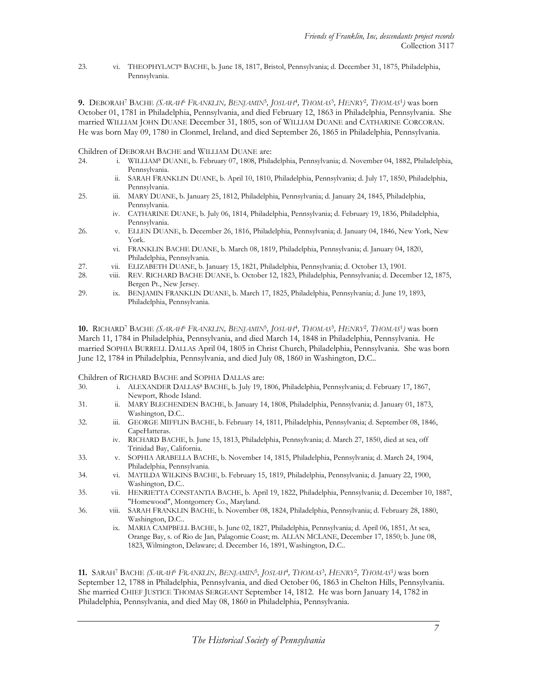23. vi. THEOPHYLACT<sup>8</sup> BACHE, b. June 18, 1817, Bristol, Pennsylvania; d. December 31, 1875, Philadelphia, Pennsylvania.

**9.** DEBORAH<sup>7</sup> BACHE *(SARAH<sup>6</sup> FRANKLIN, BENJAMIN<sup>5</sup>, JOSLAH<sup>4</sup>, THOMAS<sup>3</sup>, HENRY<sup>2</sup>, THOMAS<sup>1</sup>) was born* October 01, 1781 in Philadelphia, Pennsylvania, and died February 12, 1863 in Philadelphia, Pennsylvania. She married WILLIAM JOHN DUANE December 31, 1805, son of WILLIAM DUANE and CATHARINE CORCORAN. He was born May 09, 1780 in Clonmel, Ireland, and died September 26, 1865 in Philadelphia, Pennsylvania.

Children of DEBORAH BACHE and WILLIAM DUANE are:

- 24. i. WILLIAM<sup>8</sup> DUANE, b. February 07, 1808, Philadelphia, Pennsylvania; d. November 04, 1882, Philadelphia, Pennsylvania.
	- ii. SARAH FRANKLIN DUANE, b. April 10, 1810, Philadelphia, Pennsylvania; d. July 17, 1850, Philadelphia, Pennsylvania.
- 25. iii. MARY DUANE, b. January 25, 1812, Philadelphia, Pennsylvania; d. January 24, 1845, Philadelphia, Pennsylvania.
	- iv. CATHARINE DUANE, b. July 06, 1814, Philadelphia, Pennsylvania; d. February 19, 1836, Philadelphia, Pennsylvania.
- 26. v. ELLEN DUANE, b. December 26, 1816, Philadelphia, Pennsylvania; d. January 04, 1846, New York, New York.
	- vi. FRANKLIN BACHE DUANE, b. March 08, 1819, Philadelphia, Pennsylvania; d. January 04, 1820, Philadelphia, Pennsylvania.
- 27. vii. ELIZABETH DUANE, b. January 15, 1821, Philadelphia, Pennsylvania; d. October 13, 1901.
- 28. viii. REV. RICHARD BACHE DUANE, b. October 12, 1823, Philadelphia, Pennsylvania; d. December 12, 1875, Bergen Pt., New Jersey.
- 29. ix. BENJAMIN FRANKLIN DUANE, b. March 17, 1825, Philadelphia, Pennsylvania; d. June 19, 1893, Philadelphia, Pennsylvania.

**10.** RICHARD<sup>7</sup> BACHE *(SARAH<sup>6</sup> FRANKLIN, BENJAMIN<sup>5</sup>, JOSLAH<sup>4</sup>, THOMAS<sup>3</sup>, HENRY<sup>2</sup>, THOMAS<sup>1</sup>) was born* March 11, 1784 in Philadelphia, Pennsylvania, and died March 14, 1848 in Philadelphia, Pennsylvania. He married SOPHIA BURRELL DALLAS April 04, 1805 in Christ Church, Philadelphia, Pennsylvania. She was born June 12, 1784 in Philadelphia, Pennsylvania, and died July 08, 1860 in Washington, D.C..

Children of RICHARD BACHE and SOPHIA DALLAS are:

- 30. i. ALEXANDER DALLAS<sup>8</sup> BACHE, b. July 19, 1806, Philadelphia, Pennsylvania; d. February 17, 1867, Newport, Rhode Island.
- 31. ii. MARY BLECHENDEN BACHE, b. January 14, 1808, Philadelphia, Pennsylvania; d. January 01, 1873, Washington, D.C..
- 32. iii. GEORGE MIFFLIN BACHE, b. February 14, 1811, Philadelphia, Pennsylvania; d. September 08, 1846, CapeHatteras.
	- iv. RICHARD BACHE, b. June 15, 1813, Philadelphia, Pennsylvania; d. March 27, 1850, died at sea, off Trinidad Bay, California.
- 33. v. SOPHIA ARABELLA BACHE, b. November 14, 1815, Philadelphia, Pennsylvania; d. March 24, 1904, Philadelphia, Pennsylvania.
- 34. vi. MATILDA WILKINS BACHE, b. February 15, 1819, Philadelphia, Pennsylvania; d. January 22, 1900, Washington, D.C..
- 35. vii. HENRIETTA CONSTANTIA BACHE, b. April 19, 1822, Philadelphia, Pennsylvania; d. December 10, 1887, "Homewood", Montgomery Co., Maryland.
- 36. viii. SARAH FRANKLIN BACHE, b. November 08, 1824, Philadelphia, Pennsylvania; d. February 28, 1880, Washington, D.C..
	- ix. MARIA CAMPBELL BACHE, b. June 02, 1827, Philadelphia, Pennsylvania; d. April 06, 1851, At sea, Orange Bay, s. of Rio de Jan, Palagomie Coast; m. ALLAN MCLANE, December 17, 1850; b. June 08, 1823, Wilmington, Delaware; d. December 16, 1891, Washington, D.C..

**11.** SARAH<sup>7</sup> BACHE *(SARAH<sup>6</sup> FRANKLIN, BENJAMIN<sup>5</sup>, JOSLAH<sup>4</sup>, THOMAS<sup>3</sup>, HENRY<sup>2</sup>, THOMAS<sup>1</sup>) was born* September 12, 1788 in Philadelphia, Pennsylvania, and died October 06, 1863 in Chelton Hills, Pennsylvania. She married CHIEF JUSTICE THOMAS SERGEANT September 14, 1812. He was born January 14, 1782 in Philadelphia, Pennsylvania, and died May 08, 1860 in Philadelphia, Pennsylvania.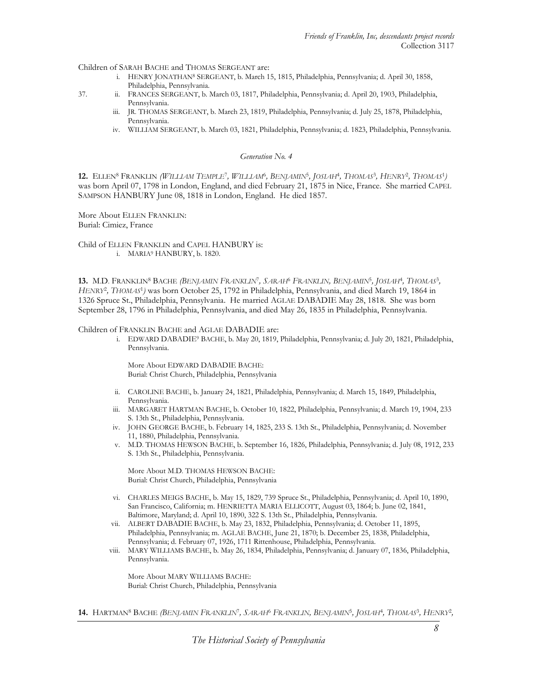Children of SARAH BACHE and THOMAS SERGEANT are:

- i. HENRY JONATHAN<sup>8</sup> SERGEANT, b. March 15, 1815, Philadelphia, Pennsylvania; d. April 30, 1858, Philadelphia, Pennsylvania.
- 37. ii. FRANCES SERGEANT, b. March 03, 1817, Philadelphia, Pennsylvania; d. April 20, 1903, Philadelphia, Pennsylvania.
	- iii. JR. THOMAS SERGEANT, b. March 23, 1819, Philadelphia, Pennsylvania; d. July 25, 1878, Philadelphia, Pennsylvania.
	- iv. WILLIAM SERGEANT, b. March 03, 1821, Philadelphia, Pennsylvania; d. 1823, Philadelphia, Pennsylvania.

#### Generation No. 4

12. ELLEN<sup>8</sup> FRANKLIN *(WILLLAM TEMPLE<sup>7</sup>, WILLLAM<sup>6</sup>, BENJAMIN<sup>5</sup>, JOSLAH<sup>4</sup>, THOMAS<sup>3</sup>, HENRY<sup>2</sup>, THOMAS<sup>1</sup>)* was born April 07, 1798 in London, England, and died February 21, 1875 in Nice, France. She married CAPEL SAMPSON HANBURY June 08, 1818 in London, England. He died 1857.

More About ELLEN FRANKLIN: Burial: Cimiez, France

Child of ELLEN FRANKLIN and CAPEL HANBURY is: i. MARIA<sup>9</sup> HANBURY, b. 1820.

13. M.D. FRANKLIN<sup>8</sup> BACHE *(BENJAMIN FRANKLIN<sup>7</sup>, SARAH<sup>6</sup> FRANKLIN, BENJAMIN<sup>5</sup>, JOSLAH<sup>4</sup>, THOMAS<sup>3</sup>,* HENRY<sup>2</sup>, THOMAS<sup>1</sup>) was born October 25, 1792 in Philadelphia, Pennsylvania, and died March 19, 1864 in 1326 Spruce St., Philadelphia, Pennsylvania. He married AGLAE DABADIE May 28, 1818. She was born September 28, 1796 in Philadelphia, Pennsylvania, and died May 26, 1835 in Philadelphia, Pennsylvania.

Children of FRANKLIN BACHE and AGLAE DABADIE are:

 i. EDWARD DABADIE9 BACHE, b. May 20, 1819, Philadelphia, Pennsylvania; d. July 20, 1821, Philadelphia, Pennsylvania.

More About EDWARD DABADIE BACHE: Burial: Christ Church, Philadelphia, Pennsylvania

- ii. CAROLINE BACHE, b. January 24, 1821, Philadelphia, Pennsylvania; d. March 15, 1849, Philadelphia, Pennsylvania.
- iii. MARGARET HARTMAN BACHE, b. October 10, 1822, Philadelphia, Pennsylvania; d. March 19, 1904, 233 S. 13th St., Philadelphia, Pennsylvania.
- iv. JOHN GEORGE BACHE, b. February 14, 1825, 233 S. 13th St., Philadelphia, Pennsylvania; d. November 11, 1880, Philadelphia, Pennsylvania.
- v. M.D. THOMAS HEWSON BACHE, b. September 16, 1826, Philadelphia, Pennsylvania; d. July 08, 1912, 233 S. 13th St., Philadelphia, Pennsylvania.

More About M.D. THOMAS HEWSON BACHE: Burial: Christ Church, Philadelphia, Pennsylvania

- vi. CHARLES MEIGS BACHE, b. May 15, 1829, 739 Spruce St., Philadelphia, Pennsylvania; d. April 10, 1890, San Francisco, California; m. HENRIETTA MARIA ELLICOTT, August 03, 1864; b. June 02, 1841, Baltimore, Maryland; d. April 10, 1890, 322 S. 13th St., Philadelphia, Pennsylvania.
- vii. ALBERT DABADIE BACHE, b. May 23, 1832, Philadelphia, Pennsylvania; d. October 11, 1895, Philadelphia, Pennsylvania; m. AGLAE BACHE, June 21, 1870; b. December 25, 1838, Philadelphia, Pennsylvania; d. February 07, 1926, 1711 Rittenhouse, Philadelphia, Pennsylvania.
- viii. MARY WILLIAMS BACHE, b. May 26, 1834, Philadelphia, Pennsylvania; d. January 07, 1836, Philadelphia, Pennsylvania.

More About MARY WILLIAMS BACHE: Burial: Christ Church, Philadelphia, Pennsylvania

**14.** HARTMAN<sup>8</sup> BACHE *(BENJAMIN FRANKLIN<sup>7</sup>, SARAH<sup>6</sup> FRANKLIN, BENJAMIN<sup>5</sup>, JOSIAH<sup>4</sup>, THOMAS<sup>3</sup>, HENRY<sup>2</sup>,*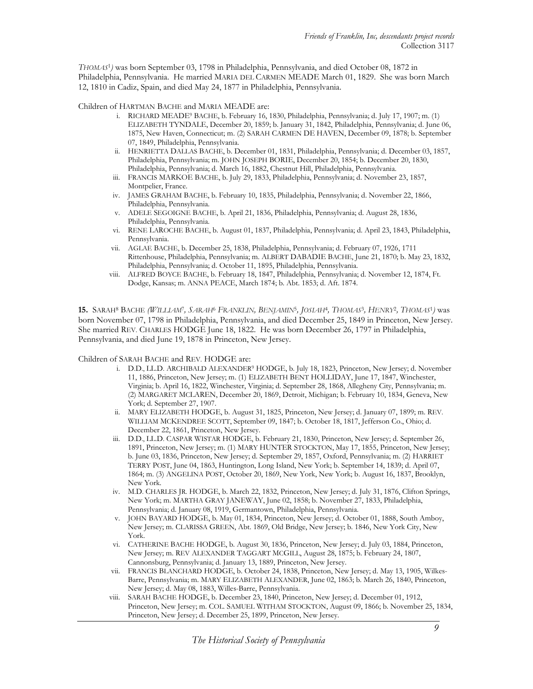THOMAS<sup>1</sup> ) was born September 03, 1798 in Philadelphia, Pennsylvania, and died October 08, 1872 in Philadelphia, Pennsylvania. He married MARIA DEL CARMEN MEADE March 01, 1829. She was born March 12, 1810 in Cadiz, Spain, and died May 24, 1877 in Philadelphia, Pennsylvania.

Children of HARTMAN BACHE and MARIA MEADE are:

- i. RICHARD MEADE9 BACHE, b. February 16, 1830, Philadelphia, Pennsylvania; d. July 17, 1907; m. (1) ELIZABETH TYNDALE, December 20, 1859; b. January 31, 1842, Philadelphia, Pennsylvania; d. June 06, 1875, New Haven, Connecticut; m. (2) SARAH CARMEN DE HAVEN, December 09, 1878; b. September 07, 1849, Philadelphia, Pennsylvania.
- ii. HENRIETTA DALLAS BACHE, b. December 01, 1831, Philadelphia, Pennsylvania; d. December 03, 1857, Philadelphia, Pennsylvania; m. JOHN JOSEPH BORIE, December 20, 1854; b. December 20, 1830, Philadelphia, Pennsylvania; d. March 16, 1882, Chestnut Hill, Philadelphia, Pennsylvania.
- iii. FRANCIS MARKOE BACHE, b. July 29, 1833, Philadelphia, Pennsylvania; d. November 23, 1857, Montpelier, France.
- iv. JAMES GRAHAM BACHE, b. February 10, 1835, Philadelphia, Pennsylvania; d. November 22, 1866, Philadelphia, Pennsylvania.
- v. ADELE SEGOIGNE BACHE, b. April 21, 1836, Philadelphia, Pennsylvania; d. August 28, 1836, Philadelphia, Pennsylvania.
- vi. RENE LAROCHE BACHE, b. August 01, 1837, Philadelphia, Pennsylvania; d. April 23, 1843, Philadelphia, Pennsylvania.
- vii. AGLAE BACHE, b. December 25, 1838, Philadelphia, Pennsylvania; d. February 07, 1926, 1711 Rittenhouse, Philadelphia, Pennsylvania; m. ALBERT DABADIE BACHE, June 21, 1870; b. May 23, 1832, Philadelphia, Pennsylvania; d. October 11, 1895, Philadelphia, Pennsylvania.
- viii. ALFRED BOYCE BACHE, b. February 18, 1847, Philadelphia, Pennsylvania; d. November 12, 1874, Ft. Dodge, Kansas; m. ANNA PEACE, March 1874; b. Abt. 1853; d. Aft. 1874.

15. SARAH<sup>8</sup> BACHE *(WILLIAM<sup>T</sup>, SARAH<sup>6</sup> FRANKLIN, BENJAMIN<sup>5</sup>, JOSIAH<sup>4</sup>, THOM<i>AS*<sup>3</sup>, HENRY<sup>2</sup>, THOM*AS*<sup>1</sup>) was born November 07, 1798 in Philadelphia, Pennsylvania, and died December 25, 1849 in Princeton, New Jersey. She married REV. CHARLES HODGE June 18, 1822. He was born December 26, 1797 in Philadelphia, Pennsylvania, and died June 19, 1878 in Princeton, New Jersey.

Children of SARAH BACHE and REV. HODGE are:

- i. D.D., LL.D. ARCHIBALD ALEXANDER<sup>9</sup> HODGE, b. July 18, 1823, Princeton, New Jersey; d. November 11, 1886, Princeton, New Jersey; m. (1) ELIZABETH BENT HOLLIDAY, June 17, 1847, Winchester, Virginia; b. April 16, 1822, Winchester, Virginia; d. September 28, 1868, Allegheny City, Pennsylvania; m. (2) MARGARET MCLAREN, December 20, 1869, Detroit, Michigan; b. February 10, 1834, Geneva, New York; d. September 27, 1907.
- ii. MARY ELIZABETH HODGE, b. August 31, 1825, Princeton, New Jersey; d. January 07, 1899; m. REV. WILLIAM MCKENDREE SCOTT, September 09, 1847; b. October 18, 1817, Jefferson Co., Ohio; d. December 22, 1861, Princeton, New Jersey.
- iii. D.D., LL.D. CASPAR WISTAR HODGE, b. February 21, 1830, Princeton, New Jersey; d. September 26, 1891, Princeton, New Jersey; m. (1) MARY HUNTER STOCKTON, May 17, 1855, Princeton, New Jersey; b. June 03, 1836, Princeton, New Jersey; d. September 29, 1857, Oxford, Pennsylvania; m. (2) HARRIET TERRY POST, June 04, 1863, Huntington, Long Island, New York; b. September 14, 1839; d. April 07, 1864; m. (3) ANGELINA POST, October 20, 1869, New York, New York; b. August 16, 1837, Brooklyn, New York.
- iv. M.D. CHARLES JR. HODGE, b. March 22, 1832, Princeton, New Jersey; d. July 31, 1876, Clifton Springs, New York; m. MARTHA GRAY JANEWAY, June 02, 1858; b. November 27, 1833, Philadelphia, Pennsylvania; d. January 08, 1919, Germantown, Philadelphia, Pennsylvania.
- v. JOHN BAYARD HODGE, b. May 01, 1834, Princeton, New Jersey; d. October 01, 1888, South Amboy, New Jersey; m. CLARISSA GREEN, Abt. 1869, Old Bridge, New Jersey; b. 1846, New York City, New York.
- vi. CATHERINE BACHE HODGE, b. August 30, 1836, Princeton, New Jersey; d. July 03, 1884, Princeton, New Jersey; m. REV ALEXANDER TAGGART MCGILL, August 28, 1875; b. February 24, 1807, Cannonsburg, Pennsylvania; d. January 13, 1889, Princeton, New Jersey.
- vii. FRANCIS BLANCHARD HODGE, b. October 24, 1838, Princeton, New Jersey; d. May 13, 1905, Wilkes-Barre, Pennsylvania; m. MARY ELIZABETH ALEXANDER, June 02, 1863; b. March 26, 1840, Princeton, New Jersey; d. May 08, 1883, Willes-Barre, Pennsylvania.
- viii. SARAH BACHE HODGE, b. December 23, 1840, Princeton, New Jersey; d. December 01, 1912, Princeton, New Jersey; m. COL. SAMUEL WITHAM STOCKTON, August 09, 1866; b. November 25, 1834, Princeton, New Jersey; d. December 25, 1899, Princeton, New Jersey.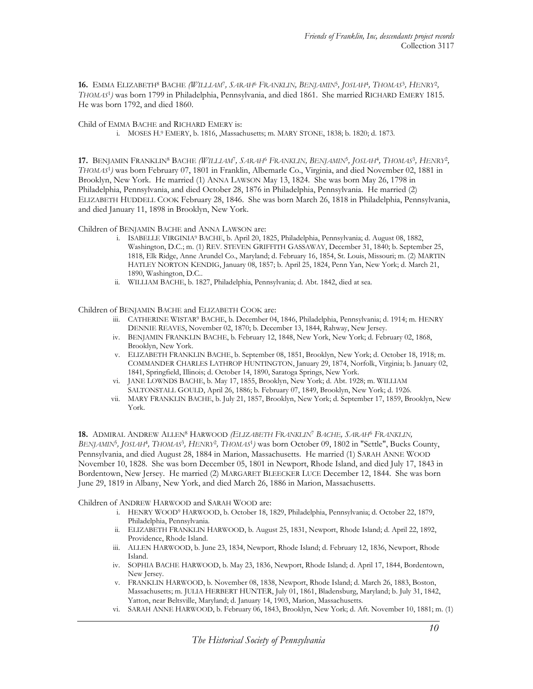16. EMMA ELIZABETH<sup>8</sup> BACHE *(WILLIAM<sup>T</sup>, SARAH<sup>6</sup> FRANKLIN, BENJAMIN<sup>5</sup>, JOSIAH<sup>4</sup>, THOMAS<sup>3</sup>, HENRY<sup>2</sup>,* THOMAS<sup>1</sup> ) was born 1799 in Philadelphia, Pennsylvania, and died 1861. She married RICHARD EMERY 1815. He was born 1792, and died 1860.

Child of EMMA BACHE and RICHARD EMERY is:

i. MOSES H. <sup>9</sup> EMERY, b. 1816, ,Massachusetts; m. MARY STONE, 1838; b. 1820; d. 1873.

17. BENJAMIN FRANKLIN<sup>8</sup> BACHE *(WILLIAM<sup>)</sup>, SARAH<sup>6</sup> FRANKLIN, BENJAMIN<sup>5</sup>, JOSIAH<sup>4</sup>, THOMAS<sup>3</sup>, HENRY<sup>2</sup>,* THOMAS<sup>1</sup> ) was born February 07, 1801 in Franklin, Albemarle Co., Virginia, and died November 02, 1881 in Brooklyn, New York. He married (1) ANNA LAWSON May 13, 1824. She was born May 26, 1798 in Philadelphia, Pennsylvania, and died October 28, 1876 in Philadelphia, Pennsylvania. He married (2) ELIZABETH HUDDELL COOK February 28, 1846. She was born March 26, 1818 in Philadelphia, Pennsylvania, and died January 11, 1898 in Brooklyn, New York.

Children of BENJAMIN BACHE and ANNA LAWSON are:

- i. ISABELLE VIRGINIA<sup>9</sup> BACHE, b. April 20, 1825, Philadelphia, Pennsylvania; d. August 08, 1882, Washington, D.C.; m. (1) REV. STEVEN GRIFFITH GASSAWAY, December 31, 1840; b. September 25, 1818, Elk Ridge, Anne Arundel Co., Maryland; d. February 16, 1854, St. Louis, Missouri; m. (2) MARTIN HATLEY NORTON KENDIG, January 08, 1857; b. April 25, 1824, Penn Yan, New York; d. March 21, 1890, Washington, D.C..
- ii. WILLIAM BACHE, b. 1827, Philadelphia, Pennsylvania; d. Abt. 1842, died at sea.

Children of BENJAMIN BACHE and ELIZABETH COOK are:

- iii. CATHERINE WISTAR<sup>9</sup> BACHE, b. December 04, 1846, Philadelphia, Pennsylvania; d. 1914; m. HENRY DENNIE REAVES, November 02, 1870; b. December 13, 1844, Rahway, New Jersey.
- iv. BENJAMIN FRANKLIN BACHE, b. February 12, 1848, New York, New York; d. February 02, 1868, Brooklyn, New York.
- v. ELIZABETH FRANKLIN BACHE, b. September 08, 1851, Brooklyn, New York; d. October 18, 1918; m. COMMANDER CHARLES LATHROP HUNTINGTON, January 29, 1874, Norfolk, Virginia; b. January 02, 1841, Springfield, Illinois; d. October 14, 1890, Saratoga Springs, New York.
- vi. JANE LOWNDS BACHE, b. May 17, 1855, Brooklyn, New York; d. Abt. 1928; m. WILLIAM SALTONSTALL GOULD, April 26, 1886; b. February 07, 1849, Brooklyn, New York; d. 1926.
- vii. MARY FRANKLIN BACHE, b. July 21, 1857, Brooklyn, New York; d. September 17, 1859, Brooklyn, New York.

18. ADMIRAL ANDREW ALLEN<sup>8</sup> HARWOOD *(ELIZABETH FRANKLIN<sup>7</sup> BACHE, SARAH<sup>6</sup> FRANKLIN,* BENJAMIN<sup>5</sup>, JOSIAH<sup>4</sup>, THOMAS<sup>3</sup>, HENRY<sup>2</sup>, THOMAS<sup>1</sup>) was born October 09, 1802 in "Settle", Bucks County, Pennsylvania, and died August 28, 1884 in Marion, Massachusetts. He married (1) SARAH ANNE WOOD November 10, 1828. She was born December 05, 1801 in Newport, Rhode Island, and died July 17, 1843 in Bordentown, New Jersey. He married (2) MARGARET BLEECKER LUCE December 12, 1844. She was born June 29, 1819 in Albany, New York, and died March 26, 1886 in Marion, Massachusetts.

Children of ANDREW HARWOOD and SARAH WOOD are:

- i. HENRY WOOD<sup>9</sup> HARWOOD, b. October 18, 1829, Philadelphia, Pennsylvania; d. October 22, 1879, Philadelphia, Pennsylvania.
- ii. ELIZABETH FRANKLIN HARWOOD, b. August 25, 1831, Newport, Rhode Island; d. April 22, 1892, Providence, Rhode Island.
- iii. ALLEN HARWOOD, b. June 23, 1834, Newport, Rhode Island; d. February 12, 1836, Newport, Rhode Island.
- iv. SOPHIA BACHE HARWOOD, b. May 23, 1836, Newport, Rhode Island; d. April 17, 1844, Bordentown, New Jersey.
- v. FRANKLIN HARWOOD, b. November 08, 1838, Newport, Rhode Island; d. March 26, 1883, Boston, Massachusetts; m. JULIA HERBERT HUNTER, July 01, 1861, Bladensburg, Maryland; b. July 31, 1842, Yatton, near Beltsville, Maryland; d. January 14, 1903, Marion, Massachusetts.
- vi. SARAH ANNE HARWOOD, b. February 06, 1843, Brooklyn, New York; d. Aft. November 10, 1881; m. (1)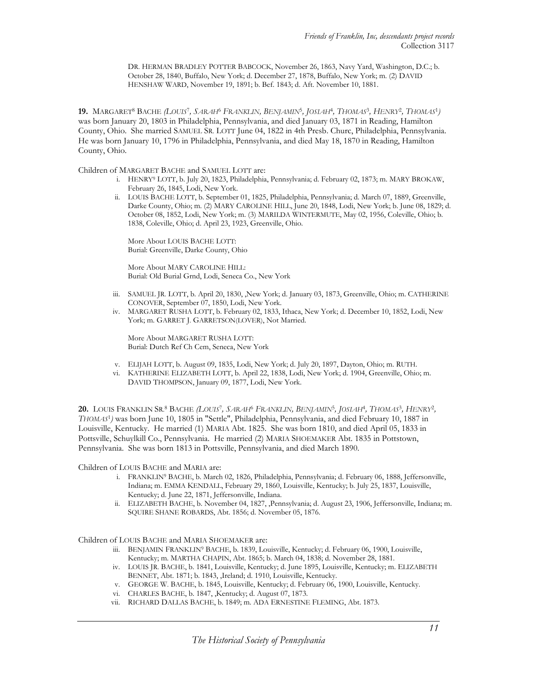DR. HERMAN BRADLEY POTTER BABCOCK, November 26, 1863, Navy Yard, Washington, D.C.; b. October 28, 1840, Buffalo, New York; d. December 27, 1878, Buffalo, New York; m. (2) DAVID HENSHAW WARD, November 19, 1891; b. Bef. 1843; d. Aft. November 10, 1881.

**19.** MARGARET<sup>8</sup> BACHE *(LOUIS<sup>t</sup>, SARAH<sup>6</sup> FRANKLIN, BENJAMIN<sup>5</sup>, JOSLAH<sup>4</sup>, THOMAS<sup>3</sup>, HENRY<sup>2</sup>, THOMAS<sup>1</sup>)* was born January 20, 1803 in Philadelphia, Pennsylvania, and died January 03, 1871 in Reading, Hamilton County, Ohio. She married SAMUEL SR. LOTT June 04, 1822 in 4th Presb. Churc, Philadelphia, Pennsylvania. He was born January 10, 1796 in Philadelphia, Pennsylvania, and died May 18, 1870 in Reading, Hamilton County, Ohio.

Children of MARGARET BACHE and SAMUEL LOTT are:

- i. HENRY<sup>9</sup> LOTT, b. July 20, 1823, Philadelphia, Pennsylvania; d. February 02, 1873; m. MARY BROKAW, February 26, 1845, Lodi, New York.
- ii. LOUIS BACHE LOTT, b. September 01, 1825, Philadelphia, Pennsylvania; d. March 07, 1889, Greenville, Darke County, Ohio; m. (2) MARY CAROLINE HILL, June 20, 1848, Lodi, New York; b. June 08, 1829; d. October 08, 1852, Lodi, New York; m. (3) MARILDA WINTERMUTE, May 02, 1956, Coleville, Ohio; b. 1838, Coleville, Ohio; d. April 23, 1923, Greenville, Ohio.

More About LOUIS BACHE LOTT: Burial: Greenville, Darke County, Ohio

More About MARY CAROLINE HILL: Burial: Old Burial Grnd, Lodi, Seneca Co., New York

- iii. SAMUEL JR. LOTT, b. April 20, 1830, ,New York; d. January 03, 1873, Greenville, Ohio; m. CATHERINE CONOVER, September 07, 1850, Lodi, New York.
- iv. MARGARET RUSHA LOTT, b. February 02, 1833, Ithaca, New York; d. December 10, 1852, Lodi, New York; m. GARRET J. GARRETSON(LOVER), Not Married.

More About MARGARET RUSHA LOTT: Burial: Dutch Ref Ch Cem, Seneca, New York

- v. ELIJAH LOTT, b. August 09, 1835, Lodi, New York; d. July 20, 1897, Dayton, Ohio; m. RUTH.
- vi. KATHERINE ELIZABETH LOTT, b. April 22, 1838, Lodi, New York; d. 1904, Greenville, Ohio; m. DAVID THOMPSON, January 09, 1877, Lodi, New York.

20. LOUIS FRANKLIN SR.<sup>8</sup> BACHE *(LOUIS<sup>7</sup>, SARAH<sup>6</sup> FRANKLIN, BENJAMIN*5, JOSIAH<sup>4</sup>, THOMAS<sup>3</sup>, HENRY<sup>2</sup>, THOMAS<sup>1</sup> ) was born June 10, 1805 in "Settle", Philadelphia, Pennsylvania, and died February 10, 1887 in Louisville, Kentucky. He married (1) MARIA Abt. 1825. She was born 1810, and died April 05, 1833 in Pottsville, Schuylkill Co., Pennsylvania. He married (2) MARIA SHOEMAKER Abt. 1835 in Pottstown, Pennsylvania. She was born 1813 in Pottsville, Pennsylvania, and died March 1890.

Children of LOUIS BACHE and MARIA are:

- i. FRANKLIN<sup>9</sup> BACHE, b. March 02, 1826, Philadelphia, Pennsylvania; d. February 06, 1888, Jeffersonville, Indiana; m. EMMA KENDALL, February 29, 1860, Louisville, Kentucky; b. July 25, 1837, Louisville, Kentucky; d. June 22, 1871, Jeffersonville, Indiana.
- ii. ELIZABETH BACHE, b. November 04, 1827, ,Pennsylvania; d. August 23, 1906, Jeffersonville, Indiana; m. SQUIRE SHANE ROBARDS, Abt. 1856; d. November 05, 1876.

Children of LOUIS BACHE and MARIA SHOEMAKER are:

- iii. BENJAMIN FRANKLIN<sup>9</sup> BACHE, b. 1839, Louisville, Kentucky; d. February 06, 1900, Louisville, Kentucky; m. MARTHA CHAPIN, Abt. 1865; b. March 04, 1838; d. November 28, 1881.
- iv. LOUIS JR. BACHE, b. 1841, Louisville, Kentucky; d. June 1895, Louisville, Kentucky; m. ELIZABETH BENNET, Abt. 1871; b. 1843, ,Ireland; d. 1910, Louisville, Kentucky.
- v. GEORGE W. BACHE, b. 1845, Louisville, Kentucky; d. February 06, 1900, Louisville, Kentucky.
- vi. CHARLES BACHE, b. 1847, ,Kentucky; d. August 07, 1873.
- vii. RICHARD DALLAS BACHE, b. 1849; m. ADA ERNESTINE FLEMING, Abt. 1873.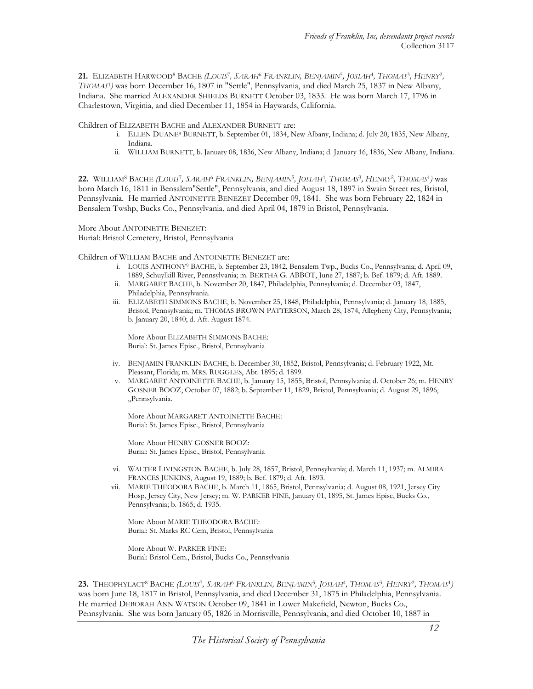21. ELIZABETH HARWOOD<sup>8</sup> BACHE *(LOUIS<sup>7</sup>, SARAH<sup>6</sup> FRANKLIN, BENJAMIN<sup>5</sup>, JOSLAH<sup>4</sup>, THOMAS<sup>3</sup>, HENRY<sup>2</sup>,* THOMAS<sup>1</sup> ) was born December 16, 1807 in "Settle", Pennsylvania, and died March 25, 1837 in New Albany, Indiana. She married ALEXANDER SHIELDS BURNETT October 03, 1833. He was born March 17, 1796 in Charlestown, Virginia, and died December 11, 1854 in Haywards, California.

Children of ELIZABETH BACHE and ALEXANDER BURNETT are:

- i. ELLEN DUANE<sup>9</sup> BURNETT, b. September 01, 1834, New Albany, Indiana; d. July 20, 1835, New Albany, Indiana.
- ii. WILLIAM BURNETT, b. January 08, 1836, New Albany, Indiana; d. January 16, 1836, New Albany, Indiana.

22. WILLIAM<sup>8</sup> BACHE *(LOUIS<sup>-</sup>, SARAH<sup>6</sup> FRANKLIN, BENJAMIN<sup>5</sup>, JOSIAH<sup>4</sup>, THOMAS<sup>3</sup>, HENRY<sup>2</sup>, THOMAS<sup>1</sup>) was* born March 16, 1811 in Bensalem"Settle", Pennsylvania, and died August 18, 1897 in Swain Street res, Bristol, Pennsylvania. He married ANTOINETTE BENEZET December 09, 1841. She was born February 22, 1824 in Bensalem Twshp, Bucks Co., Pennsylvania, and died April 04, 1879 in Bristol, Pennsylvania.

More About ANTOINETTE BENEZET: Burial: Bristol Cemetery, Bristol, Pennsylvania

Children of WILLIAM BACHE and ANTOINETTE BENEZET are:

- i. LOUIS ANTHONY<sup>9</sup> BACHE, b. September 23, 1842, Bensalem Twp., Bucks Co., Pennsylvania; d. April 09, 1889, Schuylkill River, Pennsylvania; m. BERTHA G. ABBOT, June 27, 1887; b. Bef. 1879; d. Aft. 1889.
- ii. MARGARET BACHE, b. November 20, 1847, Philadelphia, Pennsylvania; d. December 03, 1847, Philadelphia, Pennsylvania.
- iii. ELIZABETH SIMMONS BACHE, b. November 25, 1848, Philadelphia, Pennsylvania; d. January 18, 1885, Bristol, Pennsylvania; m. THOMAS BROWN PATTERSON, March 28, 1874, Allegheny City, Pennsylvania; b. January 20, 1840; d. Aft. August 1874.

More About ELIZABETH SIMMONS BACHE: Burial: St. James Episc., Bristol, Pennsylvania

- iv. BENJAMIN FRANKLIN BACHE, b. December 30, 1852, Bristol, Pennsylvania; d. February 1922, Mt. Pleasant, Florida; m. MRS. RUGGLES, Abt. 1895; d. 1899.
- v. MARGARET ANTOINETTE BACHE, b. January 15, 1855, Bristol, Pennsylvania; d. October 26; m. HENRY GOSNER BOOZ, October 07, 1882; b. September 11, 1829, Bristol, Pennsylvania; d. August 29, 1896, ,,Pennsylvania.

More About MARGARET ANTOINETTE BACHE: Burial: St. James Episc., Bristol, Pennsylvania

More About HENRY GOSNER BOOZ: Burial: St. James Episc., Bristol, Pennsylvania

- vi. WALTER LIVINGSTON BACHE, b. July 28, 1857, Bristol, Pennsylvania; d. March 11, 1937; m. ALMIRA FRANCES JUNKINS, August 19, 1889; b. Bef. 1879; d. Aft. 1893.
- vii. MARIE THEODORA BACHE, b. March 11, 1865, Bristol, Pennsylvania; d. August 08, 1921, Jersey City Hosp, Jersey City, New Jersey; m. W. PARKER FINE, January 01, 1895, St. James Episc, Bucks Co., Pennsylvania; b. 1865; d. 1935.

More About MARIE THEODORA BACHE: Burial: St. Marks RC Cem, Bristol, Pennsylvania

More About W. PARKER FINE: Burial: Bristol Cem., Bristol, Bucks Co., Pennsylvania

 $23.$  Theophylact® Bache *(Louis'', Sarah*% Fr*anklin, Benjamin*5, Josi*ah*4, Thomas3, Henry2, Thomas<sup>1</sup>) was born June 18, 1817 in Bristol, Pennsylvania, and died December 31, 1875 in Philadelphia, Pennsylvania. He married DEBORAH ANN WATSON October 09, 1841 in Lower Makefield, Newton, Bucks Co., Pennsylvania. She was born January 05, 1826 in Morrisville, Pennsylvania, and died October 10, 1887 in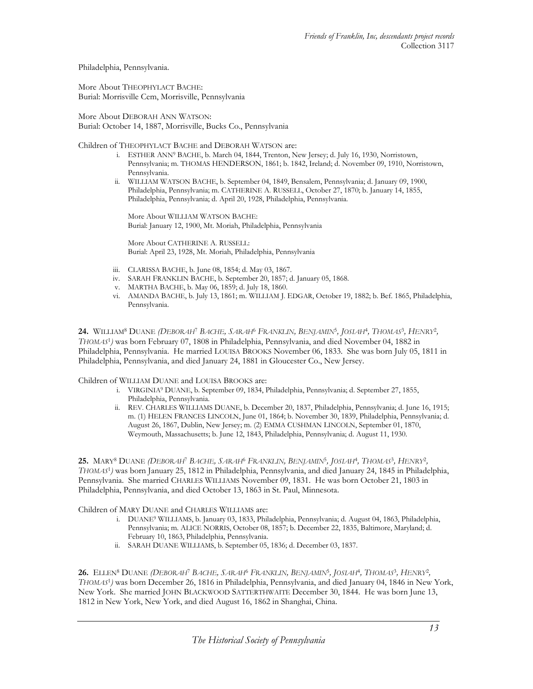Philadelphia, Pennsylvania.

More About THEOPHYLACT BACHE: Burial: Morrisville Cem, Morrisville, Pennsylvania

More About DEBORAH ANN WATSON: Burial: October 14, 1887, Morrisville, Bucks Co., Pennsylvania

Children of THEOPHYLACT BACHE and DEBORAH WATSON are:

- i. ESTHER ANN<sup>9</sup> BACHE, b. March 04, 1844, Trenton, New Jersey; d. July 16, 1930, Norristown, Pennsylvania; m. THOMAS HENDERSON, 1861; b. 1842, Ireland; d. November 09, 1910, Norristown, Pennsylvania.
- ii. WILLIAM WATSON BACHE, b. September 04, 1849, Bensalem, Pennsylvania; d. January 09, 1900, Philadelphia, Pennsylvania; m. CATHERINE A. RUSSELL, October 27, 1870; b. January 14, 1855, Philadelphia, Pennsylvania; d. April 20, 1928, Philadelphia, Pennsylvania.

More About WILLIAM WATSON BACHE: Burial: January 12, 1900, Mt. Moriah, Philadelphia, Pennsylvania

More About CATHERINE A. RUSSELL: Burial: April 23, 1928, Mt. Moriah, Philadelphia, Pennsylvania

- iii. CLARISSA BACHE, b. June 08, 1854; d. May 03, 1867.
- iv. SARAH FRANKLIN BACHE, b. September 20, 1857; d. January 05, 1868.
- v. MARTHA BACHE, b. May 06, 1859; d. July 18, 1860.
- vi. AMANDA BACHE, b. July 13, 1861; m. WILLIAM J. EDGAR, October 19, 1882; b. Bef. 1865, Philadelphia, Pennsylvania.

24. WILLIAM<sup>8</sup> DUANE *(DEBORAH<sup>7</sup> BACHE, SARAH<sup>6</sup> FRANKLIN, BENJAMIN<sup>5</sup>, JOSLAH<sup>4</sup>, THOMAS<sup>3</sup>, HENRY<sup>2</sup>,* THOMAS<sup>1</sup> ) was born February 07, 1808 in Philadelphia, Pennsylvania, and died November 04, 1882 in Philadelphia, Pennsylvania. He married LOUISA BROOKS November 06, 1833. She was born July 05, 1811 in Philadelphia, Pennsylvania, and died January 24, 1881 in Gloucester Co., New Jersey.

Children of WILLIAM DUANE and LOUISA BROOKS are:

- i. VIRGINIA<sup>9</sup> DUANE, b. September 09, 1834, Philadelphia, Pennsylvania; d. September 27, 1855, Philadelphia, Pennsylvania.
- ii. REV. CHARLES WILLIAMS DUANE, b. December 20, 1837, Philadelphia, Pennsylvania; d. June 16, 1915; m. (1) HELEN FRANCES LINCOLN, June 01, 1864; b. November 30, 1839, Philadelphia, Pennsylvania; d. August 26, 1867, Dublin, New Jersey; m. (2) EMMA CUSHMAN LINCOLN, September 01, 1870, Weymouth, Massachusetts; b. June 12, 1843, Philadelphia, Pennsylvania; d. August 11, 1930.

25. MARY<sup>8</sup> DUANE *(DEBORAH<sup>t</sup> BACHE, SARAH<sup>6</sup> FRANKLIN, BENJAMIN<sup>5</sup>, JOSLAH<sup>4</sup>, THOMAS<sup>3</sup>, HENRY<sup>2</sup>,* THOMAS<sup>1</sup> ) was born January 25, 1812 in Philadelphia, Pennsylvania, and died January 24, 1845 in Philadelphia, Pennsylvania. She married CHARLES WILLIAMS November 09, 1831. He was born October 21, 1803 in Philadelphia, Pennsylvania, and died October 13, 1863 in St. Paul, Minnesota.

Children of MARY DUANE and CHARLES WILLIAMS are:

- i. DUANE<sup>9</sup> WILLIAMS, b. January 03, 1833, Philadelphia, Pennsylvania; d. August 04, 1863, Philadelphia, Pennsylvania; m. ALICE NORRIS, October 08, 1857; b. December 22, 1835, Baltimore, Maryland; d. February 10, 1863, Philadelphia, Pennsylvania.
- ii. SARAH DUANE WILLIAMS, b. September 05, 1836; d. December 03, 1837.

26. ELLEN<sup>8</sup> DUANE *(DEBORAH<sup>T</sup> BACHE, SARAH<sup>6</sup> FRANKLIN, BENJAMIN<sup>5</sup>, JOSLAH<sup>4</sup>, THOMAS<sup>3</sup>, HENRY<sup>2</sup>,* THOMAS<sup>1</sup> ) was born December 26, 1816 in Philadelphia, Pennsylvania, and died January 04, 1846 in New York, New York. She married JOHN BLACKWOOD SATTERTHWAITE December 30, 1844. He was born June 13, 1812 in New York, New York, and died August 16, 1862 in Shanghai, China.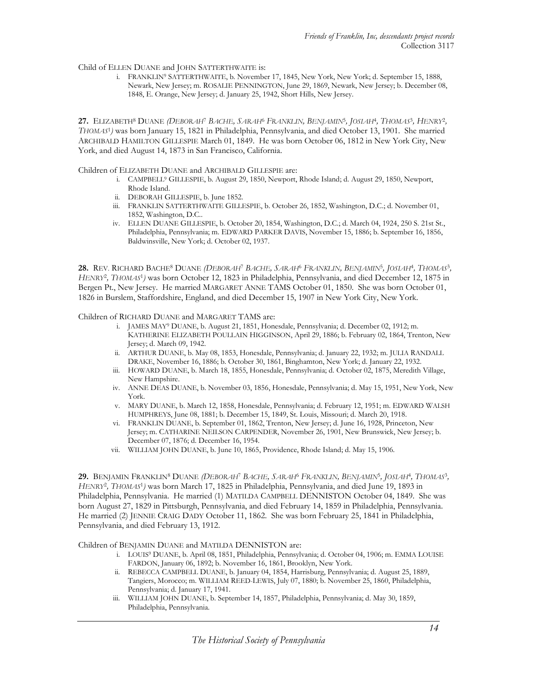Child of ELLEN DUANE and JOHN SATTERTHWAITE is:

 i. FRANKLIN<sup>9</sup> SATTERTHWAITE, b. November 17, 1845, New York, New York; d. September 15, 1888, Newark, New Jersey; m. ROSALIE PENNINGTON, June 29, 1869, Newark, New Jersey; b. December 08, 1848, E. Orange, New Jersey; d. January 25, 1942, Short Hills, New Jersey.

27. ELIZABETH<sup>8</sup> DUANE *(DEBORAH<sup>7</sup> BACHE, SARAH<sup>6</sup> FRANKLIN, BENJAMIN<sup>5</sup>, JOSLAH<sup>4</sup>, THOMAS<sup>3</sup>, HENRY<sup>2</sup>,* THOMAS<sup>1</sup> ) was born January 15, 1821 in Philadelphia, Pennsylvania, and died October 13, 1901. She married ARCHIBALD HAMILTON GILLESPIE March 01, 1849. He was born October 06, 1812 in New York City, New York, and died August 14, 1873 in San Francisco, California.

Children of ELIZABETH DUANE and ARCHIBALD GILLESPIE are:

- i. CAMPBELL<sup>9</sup> GILLESPIE, b. August 29, 1850, Newport, Rhode Island; d. August 29, 1850, Newport, Rhode Island.
- ii. DEBORAH GILLESPIE, b. June 1852.
- iii. FRANKLIN SATTERTHWAITE GILLESPIE, b. October 26, 1852, Washington, D.C.; d. November 01, 1852, Washington, D.C..
- iv. ELLEN DUANE GILLESPIE, b. October 20, 1854, Washington, D.C.; d. March 04, 1924, 250 S. 21st St., Philadelphia, Pennsylvania; m. EDWARD PARKER DAVIS, November 15, 1886; b. September 16, 1856, Baldwinsville, New York; d. October 02, 1937.

**28.** Rev. Richard Bache<sup>8</sup> Duane *(Deborah<sup>7</sup> Bache, Sarah<sup>6</sup> Franklin, Benjamin<sup>5</sup>, Josiah<sup>4</sup>, Thomas<sup>3</sup>,* HENRY<sup>2</sup>, THOMAS<sup>1</sup>) was born October 12, 1823 in Philadelphia, Pennsylvania, and died December 12, 1875 in Bergen Pt., New Jersey. He married MARGARET ANNE TAMS October 01, 1850. She was born October 01, 1826 in Burslem, Staffordshire, England, and died December 15, 1907 in New York City, New York.

Children of RICHARD DUANE and MARGARET TAMS are:

- i. JAMES MAY<sup>9</sup> DUANE, b. August 21, 1851, Honesdale, Pennsylvania; d. December 02, 1912; m. KATHERINE ELIZABETH POULLAIN HIGGINSON, April 29, 1886; b. February 02, 1864, Trenton, New Jersey; d. March 09, 1942.
- ii. ARTHUR DUANE, b. May 08, 1853, Honesdale, Pennsylvania; d. January 22, 1932; m. JULIA RANDALL DRAKE, November 16, 1886; b. October 30, 1861, Binghamton, New York; d. January 22, 1932.
- iii. HOWARD DUANE, b. March 18, 1855, Honesdale, Pennsylvania; d. October 02, 1875, Meredith Village, New Hampshire.
- iv. ANNE DEAS DUANE, b. November 03, 1856, Honesdale, Pennsylvania; d. May 15, 1951, New York, New York.
- v. MARY DUANE, b. March 12, 1858, Honesdale, Pennsylvania; d. February 12, 1951; m. EDWARD WALSH HUMPHREYS, June 08, 1881; b. December 15, 1849, St. Louis, Missouri; d. March 20, 1918.
- vi. FRANKLIN DUANE, b. September 01, 1862, Trenton, New Jersey; d. June 16, 1928, Princeton, New Jersey; m. CATHARINE NEILSON CARPENDER, November 26, 1901, New Brunswick, New Jersey; b. December 07, 1876; d. December 16, 1954.
- vii. WILLIAM JOHN DUANE, b. June 10, 1865, Providence, Rhode Island; d. May 15, 1906.

29. BENJAMIN FRANKLIN<sup>s</sup> DUANE *(DEBORAH<sup>7</sup> BACHE, SARAH<sup>6</sup> FRANKLIN, BENJAMIN<sup>5</sup>, JOSIAH<sup>4</sup>, THOMAS<sup>3</sup>,* HENRY<sup>2</sup>, THOMAS<sup>1</sup>) was born March 17, 1825 in Philadelphia, Pennsylvania, and died June 19, 1893 in Philadelphia, Pennsylvania. He married (1) MATILDA CAMPBELL DENNISTON October 04, 1849. She was born August 27, 1829 in Pittsburgh, Pennsylvania, and died February 14, 1859 in Philadelphia, Pennsylvania. He married (2) JENNIE CRAIG DADY October 11, 1862. She was born February 25, 1841 in Philadelphia, Pennsylvania, and died February 13, 1912.

Children of BENJAMIN DUANE and MATILDA DENNISTON are:

- i. LOUIS<sup>9</sup> DUANE, b. April 08, 1851, Philadelphia, Pennsylvania; d. October 04, 1906; m. EMMA LOUISE FARDON, January 06, 1892; b. November 16, 1861, Brooklyn, New York.
- ii. REBECCA CAMPBELL DUANE, b. January 04, 1854, Harrisburg, Pennsylvania; d. August 25, 1889, Tangiers, Morocco; m. WILLIAM REED-LEWIS, July 07, 1880; b. November 25, 1860, Philadelphia, Pennsylvania; d. January 17, 1941.
- iii. WILLIAM JOHN DUANE, b. September 14, 1857, Philadelphia, Pennsylvania; d. May 30, 1859, Philadelphia, Pennsylvania.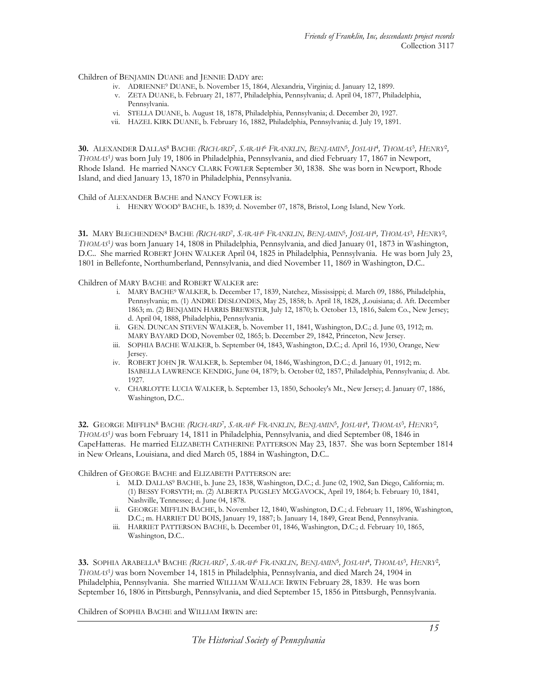Children of BENJAMIN DUANE and JENNIE DADY are:

- iv. ADRIENNE<sup>9</sup> DUANE, b. November 15, 1864, Alexandria, Virginia; d. January 12, 1899.
- v. ZETA DUANE, b. February 21, 1877, Philadelphia, Pennsylvania; d. April 04, 1877, Philadelphia, Pennsylvania.
- vi. STELLA DUANE, b. August 18, 1878, Philadelphia, Pennsylvania; d. December 20, 1927.
- vii. HAZEL KIRK DUANE, b. February 16, 1882, Philadelphia, Pennsylvania; d. July 19, 1891.

30. ALEXANDER DALLAS<sup>8</sup> BACHE *(RICHARD<sup>7</sup>, SARAH<sup>6</sup> FRANKLIN, BENJAMIN<sup>5</sup>, JOSIAH<sup>4</sup>, THOMAS<sup>3</sup>, HENRY<sup>2</sup>,* THOMAS<sup>1</sup> ) was born July 19, 1806 in Philadelphia, Pennsylvania, and died February 17, 1867 in Newport, Rhode Island. He married NANCY CLARK FOWLER September 30, 1838. She was born in Newport, Rhode Island, and died January 13, 1870 in Philadelphia, Pennsylvania.

Child of ALEXANDER BACHE and NANCY FOWLER is:

i. HENRY WOOD<sup>9</sup> BACHE, b. 1839; d. November 07, 1878, Bristol, Long Island, New York.

31. MARY BLECHENDEN<sup>8</sup> BACHE *(RICHARD<sup>7</sup>, SARAH<sup>6</sup> FRANKLIN, BENJAMIN<sup>5</sup>, JOSLAH<sup>4</sup>, THOMAS<sup>3</sup>, HENRY<sup>2</sup>,* THOMAS<sup>1</sup> ) was born January 14, 1808 in Philadelphia, Pennsylvania, and died January 01, 1873 in Washington, D.C.. She married ROBERT JOHN WALKER April 04, 1825 in Philadelphia, Pennsylvania. He was born July 23, 1801 in Bellefonte, Northumberland, Pennsylvania, and died November 11, 1869 in Washington, D.C..

Children of MARY BACHE and ROBERT WALKER are:

- i. MARY BACHE<sup>9</sup> WALKER, b. December 17, 1839, Natchez, Mississippi; d. March 09, 1886, Philadelphia, Pennsylvania; m. (1) ANDRE DESLONDES, May 25, 1858; b. April 18, 1828, ,Louisiana; d. Aft. December 1863; m. (2) BENJAMIN HARRIS BREWSTER, July 12, 1870; b. October 13, 1816, Salem Co., New Jersey; d. April 04, 1888, Philadelphia, Pennsylvania.
- ii. GEN. DUNCAN STEVEN WALKER, b. November 11, 1841, Washington, D.C.; d. June 03, 1912; m. MARY BAYARD DOD, November 02, 1865; b. December 29, 1842, Princeton, New Jersey.
- iii. SOPHIA BACHE WALKER, b. September 04, 1843, Washington, D.C.; d. April 16, 1930, Orange, New Jersey.
- iv. ROBERT JOHN JR. WALKER, b. September 04, 1846, Washington, D.C.; d. January 01, 1912; m. ISABELLA LAWRENCE KENDIG, June 04, 1879; b. October 02, 1857, Philadelphia, Pennsylvania; d. Abt. 1927.
- v. CHARLOTTE LUCIA WALKER, b. September 13, 1850, Schooley's Mt., New Jersey; d. January 07, 1886, Washington, D.C..

32. GEORGE MIFFLIN<sup>8</sup> BACHE *(RICHARD<sup>7</sup>, SARAH<sup>6</sup> FRANKLIN, BENJAMIN<sup>5</sup>, JOSIAH<sup>4</sup>, THOMAS<sup>3</sup>, HENRY<sup>2</sup>,* THOMAS<sup>1</sup> ) was born February 14, 1811 in Philadelphia, Pennsylvania, and died September 08, 1846 in CapeHatteras. He married ELIZABETH CATHERINE PATTERSON May 23, 1837. She was born September 1814 in New Orleans, Louisiana, and died March 05, 1884 in Washington, D.C..

Children of GEORGE BACHE and ELIZABETH PATTERSON are:

- i. M.D. DALLAS<sup>9</sup> BACHE, b. June 23, 1838, Washington, D.C.; d. June 02, 1902, San Diego, California; m. (1) BESSY FORSYTH; m. (2) ALBERTA PUGSLEY MCGAVOCK, April 19, 1864; b. February 10, 1841, Nashville, Tennessee; d. June 04, 1878.
- ii. GEORGE MIFFLIN BACHE, b. November 12, 1840, Washington, D.C.; d. February 11, 1896, Washington, D.C.; m. HARRIET DU BOIS, January 19, 1887; b. January 14, 1849, Great Bend, Pennsylvania.
- iii. HARRIET PATTERSON BACHE, b. December 01, 1846, Washington, D.C.; d. February 10, 1865, Washington, D.C..

33. SOPHIA ARABELLA<sup>8</sup> BACHE *(RICHARD<sup>)</sup>, SARAH<sup>6</sup> FRANKLIN, BENJAMIN<sup>5</sup>, JOSIAH<sup>4</sup>, THOMAS<sup>3</sup>, HENRY<sup>2</sup>,* THOMAS<sup>1</sup> ) was born November 14, 1815 in Philadelphia, Pennsylvania, and died March 24, 1904 in Philadelphia, Pennsylvania. She married WILLIAM WALLACE IRWIN February 28, 1839. He was born September 16, 1806 in Pittsburgh, Pennsylvania, and died September 15, 1856 in Pittsburgh, Pennsylvania.

Children of SOPHIA BACHE and WILLIAM IRWIN are: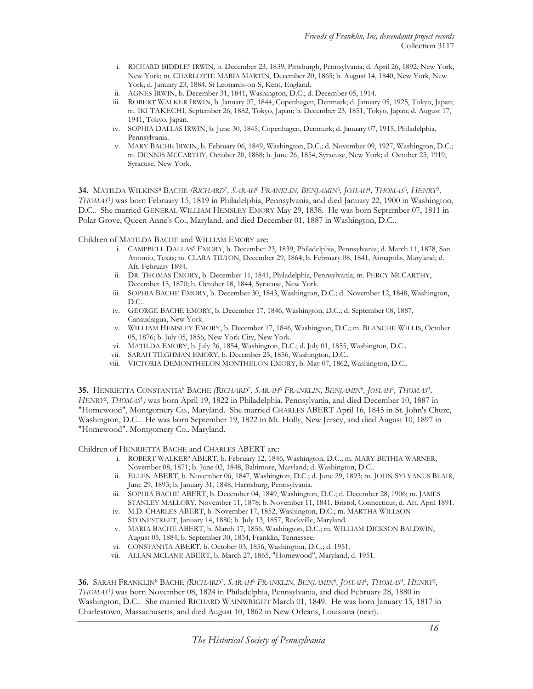- i. RICHARD BIDDLE<sup>9</sup> IRWIN, b. December 23, 1839, Pittsburgh, Pennsylvania; d. April 26, 1892, New York, New York; m. CHARLOTTE MARIA MARTIN, December 20, 1865; b. August 14, 1840, New York, New York; d. January 23, 1884, St Leonards-on-S, Kent, England.
- ii. AGNES IRWIN, b. December 31, 1841, Washington, D.C.; d. December 05, 1914.
- iii. ROBERT WALKER IRWIN, b. January 07, 1844, Copenhagen, Denmark; d. January 05, 1925, Tokyo, Japan; m. IKI TAKECHI, September 26, 1882, Tokyo, Japan; b. December 23, 1851, Tokyo, Japan; d. August 17, 1941, Tokyo, Japan.
- iv. SOPHIA DALLAS IRWIN, b. June 30, 1845, Copenhagen, Denmark; d. January 07, 1915, Philadelphia, Pennsylvania.
- v. MARY BACHE IRWIN, b. February 06, 1849, Washington, D.C.; d. November 09, 1927, Washington, D.C.; m. DENNIS MCCARTHY, October 20, 1888; b. June 26, 1854, Syracuse, New York; d. October 25, 1919, Syracuse, New York.

34. MATILDA WILKINS<sup>8</sup> BACHE *(RICHARD<sup>7</sup>, SARAH<sup>6</sup> FRANKLIN, BENJAMIN<sup>5</sup>, JOSIAH<sup>4</sup>, THOMAS<sup>3</sup>, HENRY<sup>2</sup>,* THOMAS<sup>1</sup> ) was born February 15, 1819 in Philadelphia, Pennsylvania, and died January 22, 1900 in Washington, D.C.. She married GENERAL WILLIAM HEMSLEY EMORY May 29, 1838. He was born September 07, 1811 in Polar Grove, Queen Anne's Co., Maryland, and died December 01, 1887 in Washington, D.C..

Children of MATILDA BACHE and WILLIAM EMORY are:

- i. CAMPBELL DALLAS<sup>9</sup> EMORY, b. December 23, 1839, Philadelphia, Pennsylvania; d. March 11, 1878, San Antonio, Texas; m. CLARA TILTON, December 29, 1864; b. February 08, 1841, Annapolis, Maryland; d. Aft. February 1894.
- ii. DR. THOMAS EMORY, b. December 11, 1841, Philadelphia, Pennsylvania; m. PERCY MCCARTHY, December 15, 1870; b. October 18, 1844, Syracuse, New York.
- iii. SOPHIA BACHE EMORY, b. December 30, 1843, Washington, D.C.; d. November 12, 1848, Washington, D.C..
- iv. GEORGE BACHE EMORY, b. December 17, 1846, Washington, D.C.; d. September 08, 1887, Canaudaigua, New York.
- v. WILLIAM HEMSLEY EMORY, b. December 17, 1846, Washington, D.C.; m. BLANCHE WILLIS, October 05, 1876; b. July 05, 1856, New York City, New York.
- vi. MATILDA EMORY, b. July 26, 1854, Washington, D.C.; d. July 01, 1855, Washington, D.C..
- vii. SARAH TILGHMAN EMORY, b. December 25, 1856, Washington, D.C..
- viii. VICTORIA DEMONTHELON MONTHELON EMORY, b. May 07, 1862, Washington, D.C..

**35.** HENRIETTA CONSTANTIA<sup>8</sup> BACHE *(RICHARD<sup>7</sup>, SARAH<sup>6</sup> FRANKLIN, BENJAMIN<sup>5</sup>, JOSLAH<sup>4</sup>, THOMAS<sup>3</sup>,* HENRY<sup>2</sup>, THOMAS<sup>1</sup>) was born April 19, 1822 in Philadelphia, Pennsylvania, and died December 10, 1887 in "Homewood", Montgomery Co., Maryland. She married CHARLES ABERT April 16, 1845 in St. John's Churc, Washington, D.C.. He was born September 19, 1822 in Mt. Holly, New Jersey, and died August 10, 1897 in "Homewood", Montgomery Co., Maryland.

Children of HENRIETTA BACHE and CHARLES ABERT are:

- i. ROBERT WALKER<sup>9</sup> ABERT, b. February 12, 1846, Washington, D.C.; m. MARY BETHIA WARNER, November 08, 1871; b. June 02, 1848, Baltimore, Maryland; d. Washington, D.C..
- ii. ELLEN ABERT, b. November 06, 1847, Washington, D.C.; d. June 29, 1893; m. JOHN SYLVANUS BLAIR, June 29, 1893; b. January 31, 1848, Harrisburg, Pennsylvania.
- iii. SOPHIA BACHE ABERT, b. December 04, 1849, Washington, D.C.; d. December 28, 1906; m. JAMES STANLEY MALLORY, November 11, 1878; b. November 11, 1841, Bristol, Connecticut; d. Aft. April 1891.
- iv. M.D. CHARLES ABERT, b. November 17, 1852, Washington, D.C.; m. MARTHA WILLSON STONESTREET, January 14, 1880; b. July 13, 1857, Rockville, Maryland.
- v. MARIA BACHE ABERT, b. March 17, 1856, Washington, D.C.; m. WILLIAM DICKSON BALDWIN, August 05, 1884; b. September 30, 1834, Franklin, Tennessee.
- vi. CONSTANTIA ABERT, b. October 03, 1856, Washington, D.C.; d. 1951.
- vii. ALLAN MCLANE ABERT, b. March 27, 1865, "Homewood", Maryland; d. 1951.

 ${\bf 36.}$  Sarah Franklin $^8$ Bache *(Richard<sup>)</sup>, Sarah<sup>6</sup> Franklin, Benjamin* $^5$ *, Josiah<sup>4</sup>, Thomas* $^3$ *, Henry* $^2$ *,* THOMAS<sup>1</sup> ) was born November 08, 1824 in Philadelphia, Pennsylvania, and died February 28, 1880 in Washington, D.C.. She married RICHARD WAINWRIGHT March 01, 1849. He was born January 15, 1817 in Charlestown, Massachusetts, and died August 10, 1862 in New Orleans, Louisiana (near).